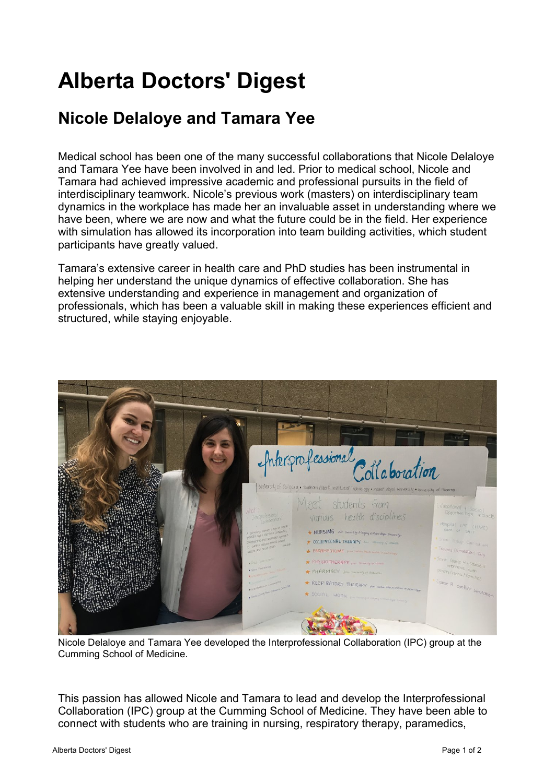## **Alberta Doctors' Digest**

## **[Nicole Delaloye and Tamara Yee](http://add.albertadoctors.org/issues/may-june-2019/nicole-delaloye-and-tamara-yee/)**

Medical school has been one of the many successful collaborations that Nicole Delaloye and Tamara Yee have been involved in and led. Prior to medical school, Nicole and Tamara had achieved impressive academic and professional pursuits in the field of interdisciplinary teamwork. Nicole's previous work (masters) on interdisciplinary team dynamics in the workplace has made her an invaluable asset in understanding where we have been, where we are now and what the future could be in the field. Her experience with simulation has allowed its incorporation into team building activities, which student participants have greatly valued.

Tamara's extensive career in health care and PhD studies has been instrumental in helping her understand the unique dynamics of effective collaboration. She has extensive understanding and experience in management and organization of professionals, which has been a valuable skill in making these experiences efficient and structured, while staying enjoyable.



Nicole Delaloye and Tamara Yee developed the Interprofessional Collaboration (IPC) group at the Cumming School of Medicine.

This passion has allowed Nicole and Tamara to lead and develop the Interprofessional Collaboration (IPC) group at the Cumming School of Medicine. They have been able to connect with students who are training in nursing, respiratory therapy, paramedics,